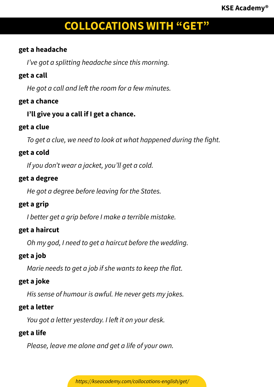### **get a headache**

*I've got a splitting headache since this morning.*

## **get a call**

*He got a call and left the room for a few minutes.*

# **get a chance**

## **I'll give you a call if I get a chance.**

## **get a clue**

*To get a clue, we need to look at what happened during the fight.*

## **get a cold**

*If you don't wear a jacket, you'll get a cold.*

## **get a degree**

*He got a degree before leaving for the States.*

## **get a grip**

*I better get a grip before I make a terrible mistake.*

# **get a haircut**

*Oh my god, I need to get a haircut before the wedding.*

# **get a job**

*Marie needs to get a job if she wants to keep the flat.*

# **get a joke**

*His sense of humour is awful. He never gets my jokes.*

## **get a letter**

*You got a letter yesterday. I left it on your desk.*

## **get a life**

*Please, leave me alone and get a life of your own.*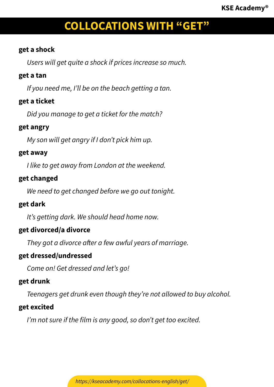#### **get a shock**

*Users will get quite a shock if prices increase so much.*

#### **get a tan**

*If you need me, I'll be on the beach getting a tan.*

## **get a ticket**

*Did you manage to get a ticket for the match?*

#### **get angry**

*My son will get angry if I don't pick him up.*

#### **get away**

*I like to get away from London at the weekend.*

## **get changed**

*We need to get changed before we go out tonight.*

#### **get dark**

*It's getting dark. We should head home now.*

#### **get divorced/a divorce**

*They got a divorce after a few awful years of marriage.*

#### **get dressed/undressed**

*Come on! Get dressed and let's go!*

## **get drunk**

*Teenagers get drunk even though they're not allowed to buy alcohol.*

#### **get excited**

*I'm not sure if the film is any good, so don't get too excited.*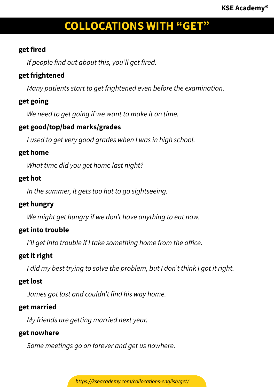### **get fired**

*If people find out about this, you'll get fired.*

# **get frightened**

*Many patients start to get frightened even before the examination.*

# **get going**

*We need to get going if we want to make it on time.*

# **get good/top/bad marks/grades**

*I used to get very good grades when I was in high school.*

### **get home**

*What time did you get home last night?*

## **get hot**

*In the summer, it gets too hot to go sightseeing.*

## **get hungry**

*We might get hungry if we don't have anything to eat now.*

# **get into trouble**

*I'll get into trouble if I take something home from the office.*

# **get it right**

*I did my best trying to solve the problem, but I don't think I got it right.*

# **get lost**

*James got lost and couldn't find his way home.*

# **get married**

*My friends are getting married next year.*

#### **get nowhere**

*Some meetings go on forever and get us nowhere.*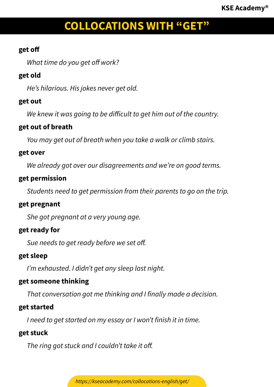## **get off**

*What time do you get off work?*

# **get old**

*He's hilarious. His jokes never get old.*

# **get out**

*We knew it was going to be difficult to get him out of the country.*

## **get out of breath**

*You may get out of breath when you take a walk or climb stairs.*

### **get over**

*We already got over our disagreements and we're on good terms.*

# **get permission**

*Students need to get permission from their parents to go on the trip.*

## **get pregnant**

*She got pregnant at a very young age.*

# **get ready for**

*Sue needs to get ready before we set off.*

# **get sleep**

*I'm exhausted. I didn't get any sleep last night.*

# **get someone thinking**

*That conversation got me thinking and I finally made a decision.*

# **get started**

*I need to get started on my essay or I won't finish it in time.*

## **get stuck**

*The ring got stuck and I couldn't take it off.*